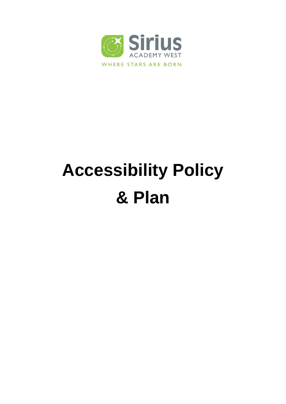

# **Accessibility Policy & Plan**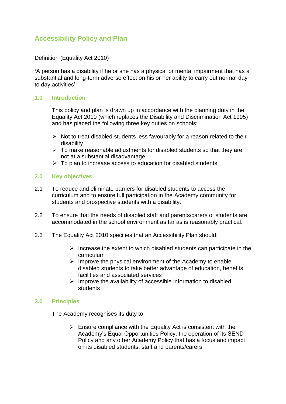# **Accessibility Policy and Plan**

Definition (Equality Act 2010)

**'**A person has a disability if he or she has a physical or mental impairment that has a substantial and long-term adverse effect on his or her ability to carry out normal day to day activities'.

# **1.0 Introduction**

This policy and plan is drawn up in accordance with the planning duty in the Equality Act 2010 (which replaces the Disability and Discrimination Act 1995) and has placed the following three key duties on schools:

- $\triangleright$  Not to treat disabled students less favourably for a reason related to their disability
- $\triangleright$  To make reasonable adjustments for disabled students so that they are not at a substantial disadvantage
- $\triangleright$  To plan to increase access to education for disabled students

#### **2.0 Key objectives**

- 2.1 To reduce and eliminate barriers for disabled students to access the curriculum and to ensure full participation in the Academy community for students and prospective students with a disability.
- 2.2 To ensure that the needs of disabled staff and parents/carers of students are accommodated in the school environment as far as is reasonably practical.
- 2.3 The Equality Act 2010 specifies that an Accessibility Plan should:
	- $\triangleright$  Increase the extent to which disabled students can participate in the curriculum
	- $\triangleright$  Improve the physical environment of the Academy to enable disabled students to take better advantage of education, benefits, facilities and associated services
	- $\triangleright$  Improve the availability of accessible information to disabled students

#### **3.0 Principles**

The Academy recognises its duty to:

 $\triangleright$  Ensure compliance with the Equality Act is consistent with the Academy's Equal Opportunities Policy; the operation of its SEND Policy and any other Academy Policy that has a focus and impact on its disabled students, staff and parents/carers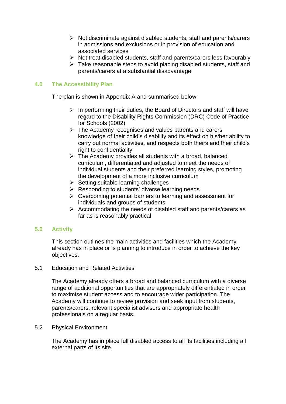- $\triangleright$  Not discriminate against disabled students, staff and parents/carers in admissions and exclusions or in provision of education and associated services
- $\triangleright$  Not treat disabled students, staff and parents/carers less favourably
- $\triangleright$  Take reasonable steps to avoid placing disabled students, staff and parents/carers at a substantial disadvantage

# **4.0 The Accessibility Plan**

The plan is shown in Appendix A and summarised below:

- $\triangleright$  In performing their duties, the Board of Directors and staff will have regard to the Disability Rights Commission (DRC) Code of Practice for Schools (2002)
- $\triangleright$  The Academy recognises and values parents and carers knowledge of their child's disability and its effect on his/her ability to carry out normal activities, and respects both theirs and their child's right to confidentiality
- $\triangleright$  The Academy provides all students with a broad, balanced curriculum, differentiated and adjusted to meet the needs of individual students and their preferred learning styles, promoting the development of a more inclusive curriculum
- $\triangleright$  Setting suitable learning challenges
- $\triangleright$  Responding to students' diverse learning needs
- $\triangleright$  Overcoming potential barriers to learning and assessment for individuals and groups of students
- $\triangleright$  Accommodating the needs of disabled staff and parents/carers as far as is reasonably practical

# **5.0 Activity**

This section outlines the main activities and facilities which the Academy already has in place or is planning to introduce in order to achieve the key objectives.

# 5.1 Education and Related Activities

The Academy already offers a broad and balanced curriculum with a diverse range of additional opportunities that are appropriately differentiated in order to maximise student access and to encourage wider participation. The Academy will continue to review provision and seek input from students, parents/carers, relevant specialist advisers and appropriate health professionals on a regular basis.

#### 5.2 Physical Environment

The Academy has in place full disabled access to all its facilities including all external parts of its site.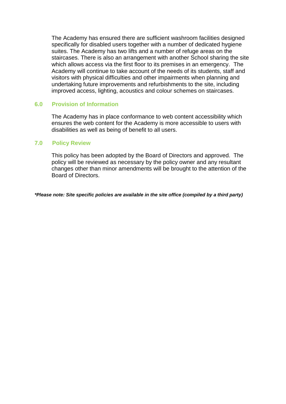The Academy has ensured there are sufficient washroom facilities designed specifically for disabled users together with a number of dedicated hygiene suites. The Academy has two lifts and a number of refuge areas on the staircases. There is also an arrangement with another School sharing the site which allows access via the first floor to its premises in an emergency. The Academy will continue to take account of the needs of its students, staff and visitors with physical difficulties and other impairments when planning and undertaking future improvements and refurbishments to the site, including improved access, lighting, acoustics and colour schemes on staircases.

#### **6.0 Provision of Information**

The Academy has in place conformance to web content accessibility which ensures the web content for the Academy is more accessible to users with disabilities as well as being of benefit to all users.

#### **7.0 Policy Review**

This policy has been adopted by the Board of Directors and approved. The policy will be reviewed as necessary by the policy owner and any resultant changes other than minor amendments will be brought to the attention of the Board of Directors.

*\*Please note: Site specific policies are available in the site office (compiled by a third party)*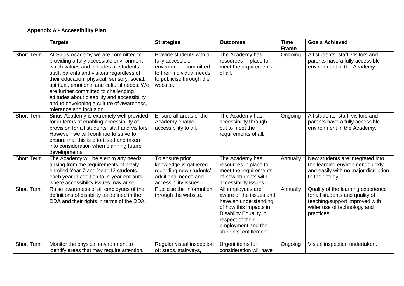# **Appendix A - Accessibility Plan**

|                   | <b>Targets</b>                                                                                                                                                                                                                                                                                                                                                                                                                           | <b>Strategies</b>                                                                                                                         | <b>Outcomes</b>                                                                                                                                                                               | <b>Time</b><br><b>Frame</b> | <b>Goals Achieved</b>                                                                                                                                |
|-------------------|------------------------------------------------------------------------------------------------------------------------------------------------------------------------------------------------------------------------------------------------------------------------------------------------------------------------------------------------------------------------------------------------------------------------------------------|-------------------------------------------------------------------------------------------------------------------------------------------|-----------------------------------------------------------------------------------------------------------------------------------------------------------------------------------------------|-----------------------------|------------------------------------------------------------------------------------------------------------------------------------------------------|
| <b>Short Term</b> | At Sirius Academy we are committed to<br>providing a fully accessible environment<br>which values and includes all students,<br>staff, parents and visitors regardless of<br>their education, physical, sensory, social,<br>spiritual, emotional and cultural needs. We<br>are further committed to challenging<br>attitudes about disability and accessibility<br>and to developing a culture of awareness,<br>tolerance and inclusion. | Provide students with a<br>fully accessible<br>environment committed<br>to their individual needs<br>to publicise through the<br>website. | The Academy has<br>resources in place to<br>meet the requirements<br>of all.                                                                                                                  | Ongoing                     | All students, staff, visitors and<br>parents have a fully accessible<br>environment in the Academy.                                                  |
| <b>Short Term</b> | Sirius Academy is extremely well provided<br>for in terms of enabling accessibility of<br>provision for all students, staff and visitors.<br>However, we will continue to strive to<br>ensure that this is prioritised and taken<br>into consideration when planning future<br>developments.                                                                                                                                             | Ensure all areas of the<br>Academy enable<br>accessibility to all.                                                                        | The Academy has<br>accessibility through<br>out to meet the<br>requirements of all.                                                                                                           | Ongoing                     | All students, staff, visitors and<br>parents have a fully accessible<br>environment in the Academy.                                                  |
| <b>Short Term</b> | The Academy will be alert to any needs<br>arising from the requirements of newly<br>enrolled Year 7 and Year 12 students<br>each year in addition to in-year entrants<br>where accessibility issues may arise.                                                                                                                                                                                                                           | To ensure prior<br>knowledge is gathered<br>regarding new students'<br>additional needs and<br>accessibility issues.                      | The Academy has<br>resources in place to<br>meet the requirements<br>of new students with<br>accessibility issues.                                                                            | Annually                    | New students are integrated into<br>the learning environment quickly<br>and easily with no major disruption<br>to their study.                       |
| <b>Short Term</b> | Raise awareness of all employees of the<br>definitions of disability as defined in the<br>DDA and their rights in terms of the DDA.                                                                                                                                                                                                                                                                                                      | Publicise the information<br>through the website.                                                                                         | All employees are<br>aware of the issues and<br>have an understanding<br>of how this impacts in<br>Disability Equality in<br>respect of their<br>employment and the<br>students' entitlement. | Annually                    | Quality of the learning experience<br>for all students and quality of<br>teaching/support improved with<br>wider use of technology and<br>practices. |
| <b>Short Term</b> | Monitor the physical environment to<br>identify areas that may require attention.                                                                                                                                                                                                                                                                                                                                                        | Regular visual inspection<br>of: steps, stairways,                                                                                        | Urgent items for<br>consideration will have                                                                                                                                                   | Ongoing                     | Visual inspection undertaken.                                                                                                                        |